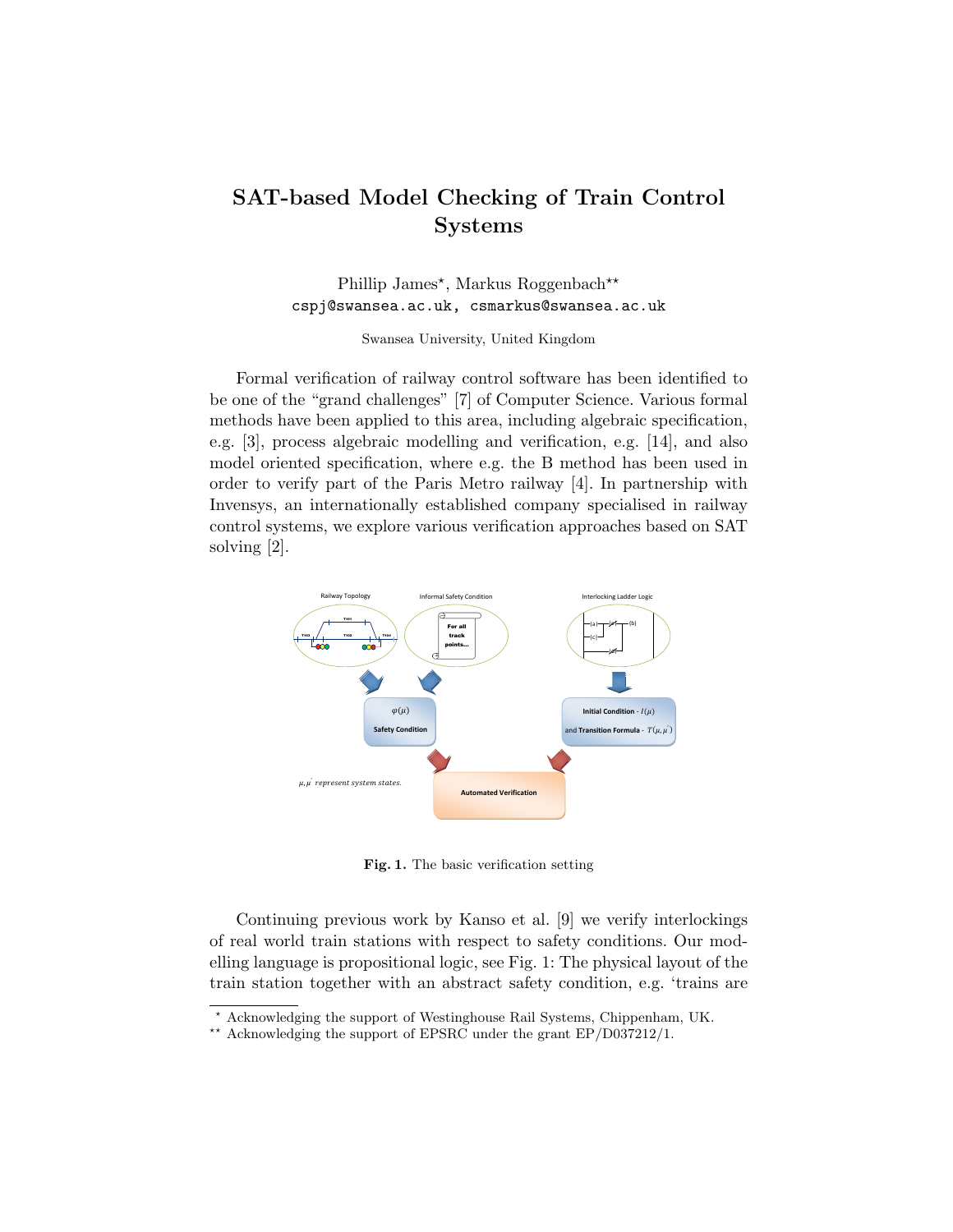## SAT-based Model Checking of Train Control Systems

Phillip James<sup>\*</sup>, Markus Roggenbach<sup>\*\*</sup> cspj@swansea.ac.uk, csmarkus@swansea.ac.uk

Swansea University, United Kingdom

Formal verification of railway control software has been identified to be one of the "grand challenges" [7] of Computer Science. Various formal methods have been applied to this area, including algebraic specification, e.g. [3], process algebraic modelling and verification, e.g. [14], and also model oriented specification, where e.g. the B method has been used in order to verify part of the Paris Metro railway [4]. In partnership with Invensys, an internationally established company specialised in railway control systems, we explore various verification approaches based on SAT solving [2].



Fig. 1. The basic verification setting

Continuing previous work by Kanso et al. [9] we verify interlockings of real world train stations with respect to safety conditions. Our modelling language is propositional logic, see Fig. 1: The physical layout of the train station together with an abstract safety condition, e.g. 'trains are

<sup>?</sup> Acknowledging the support of Westinghouse Rail Systems, Chippenham, UK.

 $^{\star\star}$  Acknowledging the support of EPSRC under the grant EP/D037212/1.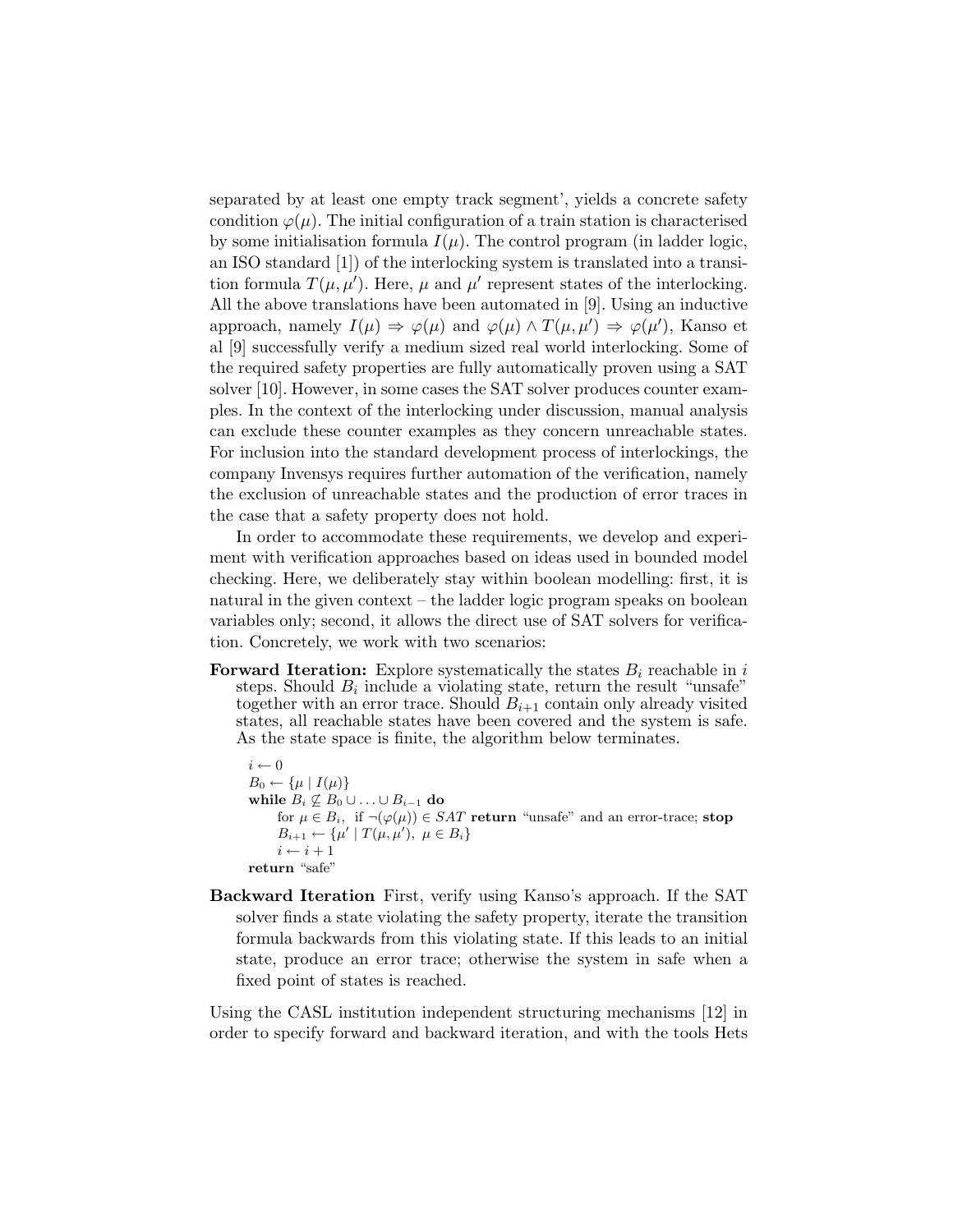separated by at least one empty track segment', yields a concrete safety condition  $\varphi(\mu)$ . The initial configuration of a train station is characterised by some initialisation formula  $I(\mu)$ . The control program (in ladder logic, an ISO standard [1]) of the interlocking system is translated into a transition formula  $T(\mu, \mu')$ . Here,  $\mu$  and  $\mu'$  represent states of the interlocking. All the above translations have been automated in [9]. Using an inductive approach, namely  $I(\mu) \Rightarrow \varphi(\mu)$  and  $\varphi(\mu) \wedge T(\mu, \mu') \Rightarrow \varphi(\mu')$ , Kanso et al [9] successfully verify a medium sized real world interlocking. Some of the required safety properties are fully automatically proven using a SAT solver [10]. However, in some cases the SAT solver produces counter examples. In the context of the interlocking under discussion, manual analysis can exclude these counter examples as they concern unreachable states. For inclusion into the standard development process of interlockings, the company Invensys requires further automation of the verification, namely the exclusion of unreachable states and the production of error traces in the case that a safety property does not hold.

In order to accommodate these requirements, we develop and experiment with verification approaches based on ideas used in bounded model checking. Here, we deliberately stay within boolean modelling: first, it is natural in the given context – the ladder logic program speaks on boolean variables only; second, it allows the direct use of SAT solvers for verification. Concretely, we work with two scenarios:

**Forward Iteration:** Explore systematically the states  $B_i$  reachable in i steps. Should  $B_i$  include a violating state, return the result "unsafe" together with an error trace. Should  $B_{i+1}$  contain only already visited states, all reachable states have been covered and the system is safe. As the state space is finite, the algorithm below terminates.

```
i \leftarrow 0B_0 \leftarrow {\{\mu \mid I(\mu)\}}while B_i \not\subseteq B_0 \cup \ldots \cup B_{i-1} do
for \mu \in B_i, if \neg(\varphi(\mu)) \in SAT return "unsafe" and an error-trace; stop
B_{i+1} \leftarrow {\mu' | T(\mu, \mu'), \ \mu \in B_i}i \leftarrow i + 1return "safe"
```
Backward Iteration First, verify using Kanso's approach. If the SAT solver finds a state violating the safety property, iterate the transition formula backwards from this violating state. If this leads to an initial state, produce an error trace; otherwise the system in safe when a fixed point of states is reached.

Using the CASL institution independent structuring mechanisms [12] in order to specify forward and backward iteration, and with the tools Hets